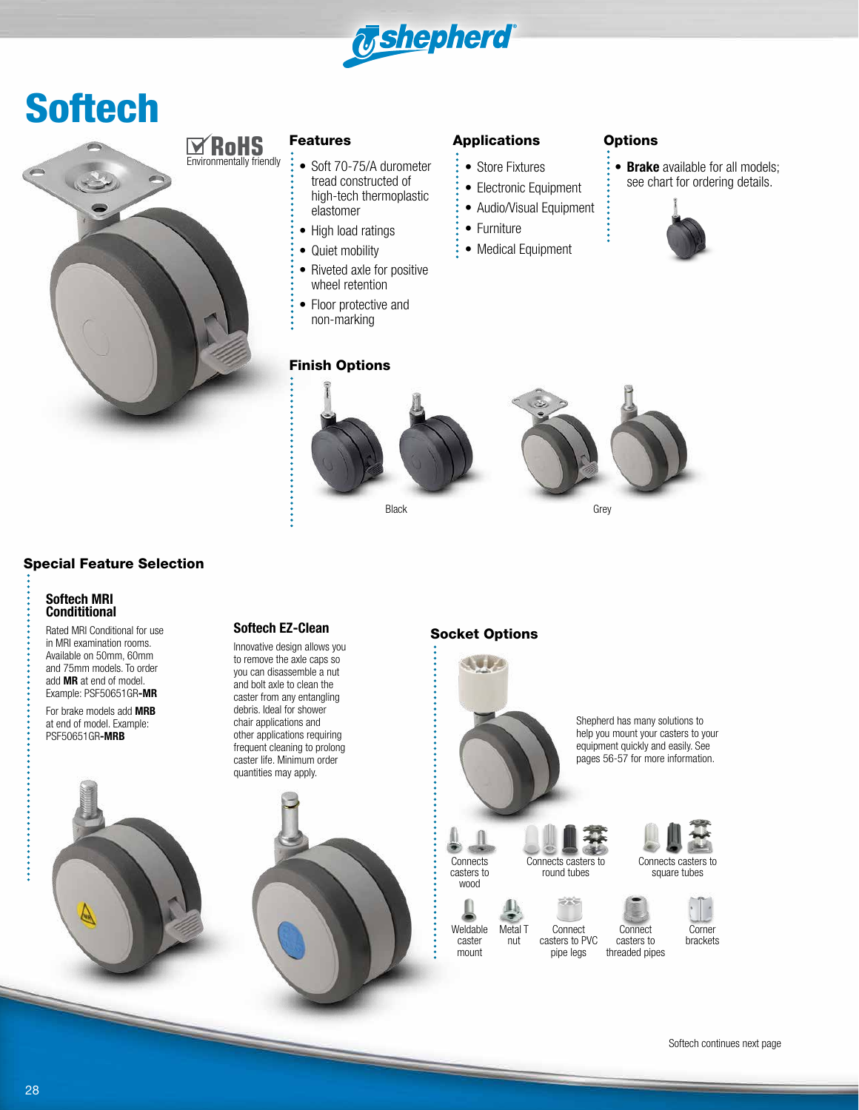

## Softech



#### Features

- Soft 70-75/A durometer tread constructed of high-tech thermoplastic elastomer
- High load ratings
- Quiet mobility
- Riveted axle for positive wheel retention
- Floor protective and non-marking

### Finish Options

#### Applications Options

- Store Fixtures
- Electronic Equipment
- Audio/Visual Equipment
- Furniture
- Medical Equipment

• **Brake** available for all models; see chart for ordering details.





### Special Feature Selection

#### **Softech MRI Condititional**

Rated MRI Conditional for use in MRI examination rooms. Available on 50mm, 60mm and 75mm models. To order add **MR** at end of model. Example: PSF50651GR**-MR**

For brake models add **MRB** at end of model. Example: PSF50651GR**-MRB**

#### **Softech EZ-Clean**

Innovative design allows you to remove the axle caps so you can disassemble a nut and bolt axle to clean the caster from any entangling debris. Ideal for shower chair applications and other applications requiring frequent cleaning to prolong caster life. Minimum order quantities may apply.



#### Socket Options